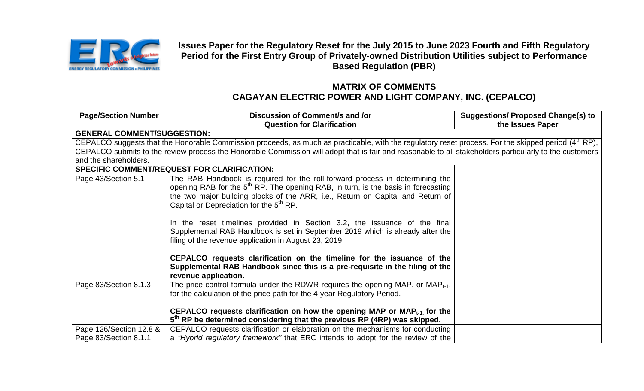

**Issues Paper for the Regulatory Reset for the July 2015 to June 2023 Fourth and Fifth Regulatory Period for the First Entry Group of Privately-owned Distribution Utilities subject to Performance Based Regulation (PBR)**

## **MATRIX OF COMMENTS CAGAYAN ELECTRIC POWER AND LIGHT COMPANY, INC. (CEPALCO)**

| <b>Page/Section Number</b>         | Discussion of Comment/s and /or<br><b>Question for Clarification</b>                                                                                             | <b>Suggestions/ Proposed Change(s) to</b><br>the Issues Paper |
|------------------------------------|------------------------------------------------------------------------------------------------------------------------------------------------------------------|---------------------------------------------------------------|
| <b>GENERAL COMMENT/SUGGESTION:</b> |                                                                                                                                                                  |                                                               |
|                                    | CEPALCO suggests that the Honorable Commission proceeds, as much as practicable, with the regulatory reset process. For the skipped period (4 <sup>th</sup> RP), |                                                               |
|                                    | CEPALCO submits to the review process the Honorable Commission will adopt that is fair and reasonable to all stakeholders particularly to the customers          |                                                               |
| and the shareholders.              |                                                                                                                                                                  |                                                               |
|                                    | <b>SPECIFIC COMMENT/REQUEST FOR CLARIFICATION:</b>                                                                                                               |                                                               |
| Page 43/Section 5.1                | The RAB Handbook is required for the roll-forward process in determining the                                                                                     |                                                               |
|                                    | opening RAB for the 5 <sup>th</sup> RP. The opening RAB, in turn, is the basis in forecasting                                                                    |                                                               |
|                                    | the two major building blocks of the ARR, i.e., Return on Capital and Return of                                                                                  |                                                               |
|                                    | Capital or Depreciation for the 5 <sup>th</sup> RP.                                                                                                              |                                                               |
|                                    |                                                                                                                                                                  |                                                               |
|                                    | In the reset timelines provided in Section 3.2, the issuance of the final                                                                                        |                                                               |
|                                    | Supplemental RAB Handbook is set in September 2019 which is already after the                                                                                    |                                                               |
|                                    | filing of the revenue application in August 23, 2019.                                                                                                            |                                                               |
|                                    | CEPALCO requests clarification on the timeline for the issuance of the                                                                                           |                                                               |
|                                    | Supplemental RAB Handbook since this is a pre-requisite in the filing of the                                                                                     |                                                               |
|                                    | revenue application.                                                                                                                                             |                                                               |
| Page 83/Section 8.1.3              | The price control formula under the RDWR requires the opening MAP, or MAP $_{t-1}$ ,                                                                             |                                                               |
|                                    | for the calculation of the price path for the 4-year Regulatory Period.                                                                                          |                                                               |
|                                    |                                                                                                                                                                  |                                                               |
|                                    | CEPALCO requests clarification on how the opening MAP or MAP $_{t-1}$ for the                                                                                    |                                                               |
|                                    | 5 <sup>th</sup> RP be determined considering that the previous RP (4RP) was skipped.                                                                             |                                                               |
| Page 126/Section 12.8 &            | CEPALCO requests clarification or elaboration on the mechanisms for conducting                                                                                   |                                                               |
| Page 83/Section 8.1.1              | a "Hybrid regulatory framework" that ERC intends to adopt for the review of the                                                                                  |                                                               |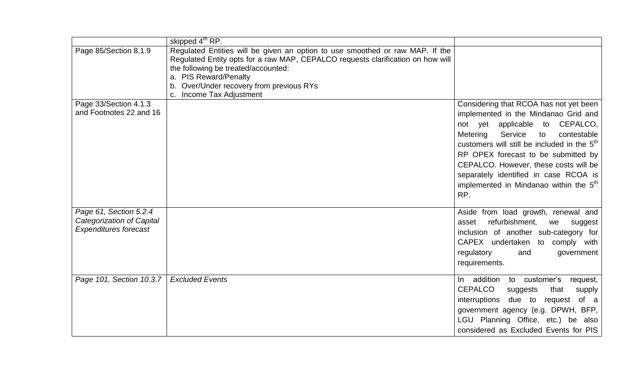|                              | skipped 4 <sup>th</sup> RP.                                                     |                                                         |
|------------------------------|---------------------------------------------------------------------------------|---------------------------------------------------------|
| Page 85/Section 8.1.9        | Regulated Entities will be given an option to use smoothed or raw MAP. If the   |                                                         |
|                              | Regulated Entity opts for a raw MAP, CEPALCO requests clarification on how will |                                                         |
|                              | the following be treated/accounted:                                             |                                                         |
|                              | a. PIS Reward/Penalty                                                           |                                                         |
|                              | b. Over/Under recovery from previous RYs                                        |                                                         |
|                              | Income Tax Adjustment                                                           |                                                         |
| Page 33/Section 4.1.3        |                                                                                 | Considering that RCOA has not yet been                  |
| and Footnotes 22 and 16      |                                                                                 | implemented in the Mindanao Grid and                    |
|                              |                                                                                 | not yet applicable to CEPALCO,                          |
|                              |                                                                                 | Service<br>contestable<br>Metering<br>to                |
|                              |                                                                                 | customers will still be included in the 5 <sup>th</sup> |
|                              |                                                                                 | RP OPEX forecast to be submitted by                     |
|                              |                                                                                 | CEPALCO. However, these costs will be                   |
|                              |                                                                                 | separately identified in case RCOA is                   |
|                              |                                                                                 | implemented in Mindanao within the 5 <sup>th</sup>      |
|                              |                                                                                 |                                                         |
|                              |                                                                                 | RP.                                                     |
| Page 61, Section 5.2.4       |                                                                                 | Aside from load growth, renewal and                     |
| Categorization of Capital    |                                                                                 | refurbishment,<br>asset<br>we<br>suggest                |
| <b>Expenditures forecast</b> |                                                                                 | inclusion of another sub-category for                   |
|                              |                                                                                 | CAPEX undertaken to comply with                         |
|                              |                                                                                 | regulatory<br>and<br>government                         |
|                              |                                                                                 |                                                         |
|                              |                                                                                 | requirements.                                           |
| Page 101, Section 10.3.7     | <b>Excluded Events</b>                                                          | customer's<br>In addition to<br>request,                |
|                              |                                                                                 | <b>CEPALCO</b><br>that<br>suggests<br>supply            |
|                              |                                                                                 | interruptions<br>due to<br>of a<br>request              |
|                              |                                                                                 | government agency (e.g. DPWH, BFP,                      |
|                              |                                                                                 | LGU Planning Office, etc.) be also                      |
|                              |                                                                                 | considered as Excluded Events for PIS                   |